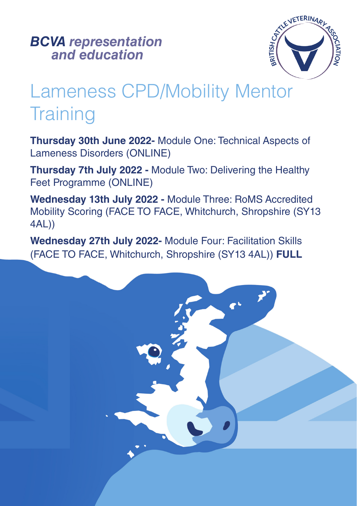*and education BCVA representation*



# Lameness CPD/Mobility Mentor **Training**

**Thursday 30th June 2022-** Module One: Technical Aspects of Lameness Disorders (ONLINE)

**Thursday 7th July 2022 -** Module Two: Delivering the Healthy Feet Programme (ONLINE)

**Wednesday 13th July 2022 -** Module Three: RoMS Accredited Mobility Scoring (FACE TO FACE, Whitchurch, Shropshire (SY13 4AL))

**Wednesday 27th July 2022-** Module Four: Facilitation Skills (FACE TO FACE, Whitchurch, Shropshire (SY13 4AL)) **FULL**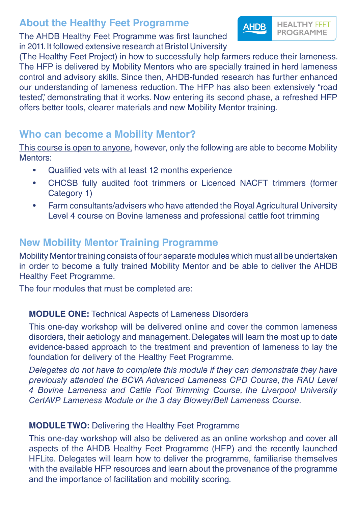## **About the Healthy Feet Programme**

The AHDB Healthy Feet Programme was first launched in 2011. It followed extensive research at Bristol University

(The Healthy Feet Project) in how to successfully help farmers reduce their lameness. The HFP is delivered by Mobility Mentors who are specially trained in herd lameness control and advisory skills. Since then, AHDB-funded research has further enhanced our understanding of lameness reduction. The HFP has also been extensively "road tested", demonstrating that it works. Now entering its second phase, a refreshed HFP offers better tools, clearer materials and new Mobility Mentor training.

**HEALTHY FEET** 

**PROGRAMME** 

**AHDB** 

## **Who can become a Mobility Mentor?**

This course is open to anyone, however, only the following are able to become Mobility Mentors:

- Qualified vets with at least 12 months experience
- CHCSB fully audited foot trimmers or Licenced NACFT trimmers (former Category 1)
- Farm consultants/advisers who have attended the Royal Agricultural University Level 4 course on Bovine lameness and professional cattle foot trimming

## **New Mobility Mentor Training Programme**

Mobility Mentor training consists of four separate modules which must all be undertaken in order to become a fully trained Mobility Mentor and be able to deliver the AHDB Healthy Feet Programme.

The four modules that must be completed are:

#### **MODULE ONE:** Technical Aspects of Lameness Disorders

This one-day workshop will be delivered online and cover the common lameness disorders, their aetiology and management. Delegates will learn the most up to date evidence-based approach to the treatment and prevention of lameness to lay the foundation for delivery of the Healthy Feet Programme.

*Delegates do not have to complete this module if they can demonstrate they have previously attended the BCVA Advanced Lameness CPD Course, the RAU Level 4 Bovine Lameness and Cattle Foot Trimming Course, the Liverpool University CertAVP Lameness Module or the 3 day Blowey/Bell Lameness Course.*

#### **MODULE TWO:** Delivering the Healthy Feet Programme

This one-day workshop will also be delivered as an online workshop and cover all aspects of the AHDB Healthy Feet Programme (HFP) and the recently launched HFLite. Delegates will learn how to deliver the programme, familiarise themselves with the available HFP resources and learn about the provenance of the programme and the importance of facilitation and mobility scoring.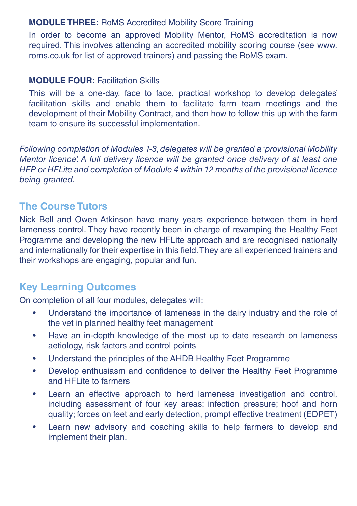#### **MODULE THREE:** RoMS Accredited Mobility Score Training

In order to become an approved Mobility Mentor, RoMS accreditation is now required. This involves attending an accredited mobility scoring course (see www. roms.co.uk for list of approved trainers) and passing the RoMS exam.

#### **MODULE FOUR: Facilitation Skills**

This will be a one-day, face to face, practical workshop to develop delegates' facilitation skills and enable them to facilitate farm team meetings and the development of their Mobility Contract, and then how to follow this up with the farm team to ensure its successful implementation.

*Following completion of Modules 1-3, delegates will be granted a 'provisional Mobility Mentor licence'. A full delivery licence will be granted once delivery of at least one HFP or HFLite and completion of Module 4 within 12 months of the provisional licence being granted.*

## **The Course Tutors**

Nick Bell and Owen Atkinson have many years experience between them in herd lameness control. They have recently been in charge of revamping the Healthy Feet Programme and developing the new HFLite approach and are recognised nationally and internationally for their expertise in this field. They are all experienced trainers and their workshops are engaging, popular and fun.

## **Key Learning Outcomes**

On completion of all four modules, delegates will:

- Understand the importance of lameness in the dairy industry and the role of the vet in planned healthy feet management
- Have an in-depth knowledge of the most up to date research on lameness aetiology, risk factors and control points
- Understand the principles of the AHDB Healthy Feet Programme
- Develop enthusiasm and confidence to deliver the Healthy Feet Programme and HFLite to farmers
- Learn an effective approach to herd lameness investigation and control, including assessment of four key areas: infection pressure; hoof and horn quality; forces on feet and early detection, prompt effective treatment (EDPET)
- Learn new advisory and coaching skills to help farmers to develop and implement their plan.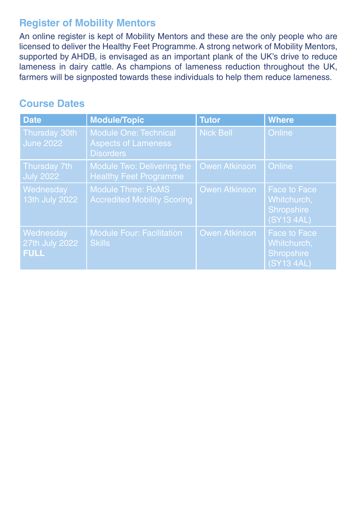## **Register of Mobility Mentors**

An online register is kept of Mobility Mentors and these are the only people who are licensed to deliver the Healthy Feet Programme. A strong network of Mobility Mentors, supported by AHDB, is envisaged as an important plank of the UK's drive to reduce lameness in dairy cattle. As champions of lameness reduction throughout the UK, farmers will be signposted towards these individuals to help them reduce lameness.

## **Course Dates**

| <b>Date</b>                                                | <b>Module/Topic</b>                                                            | <b>Tutor</b>         | <b>Where</b>                                                   |
|------------------------------------------------------------|--------------------------------------------------------------------------------|----------------------|----------------------------------------------------------------|
| Thursday 30th<br><b>June 2022</b>                          | <b>Module One: Technical</b><br><b>Aspects of Lameness</b><br><b>Disorders</b> | <b>Nick Bell</b>     | Online                                                         |
| Thursday 7th<br>$\overline{\overline{\mathsf{July}}}$ 2022 | Module Two: Delivering the<br><b>Healthy Feet Programme</b>                    | <b>Owen Atkinson</b> | Online                                                         |
| Wednesday<br>13th July 2022                                | <b>Module Three: RoMS</b><br><b>Accredited Mobility Scoring</b>                | <b>Owen Atkinson</b> | <b>Face to Face</b><br>Whitchurch,<br>Shropshire<br>(SY13 4AL) |
| Wednesday<br>27th July 2022<br><b>FULL</b>                 | <b>Module Four: Facilitation</b><br><b>Skills</b>                              | <b>Owen Atkinson</b> | <b>Face to Face</b><br>Whitchurch,<br>Shropshire<br>(SY13 4AL) |